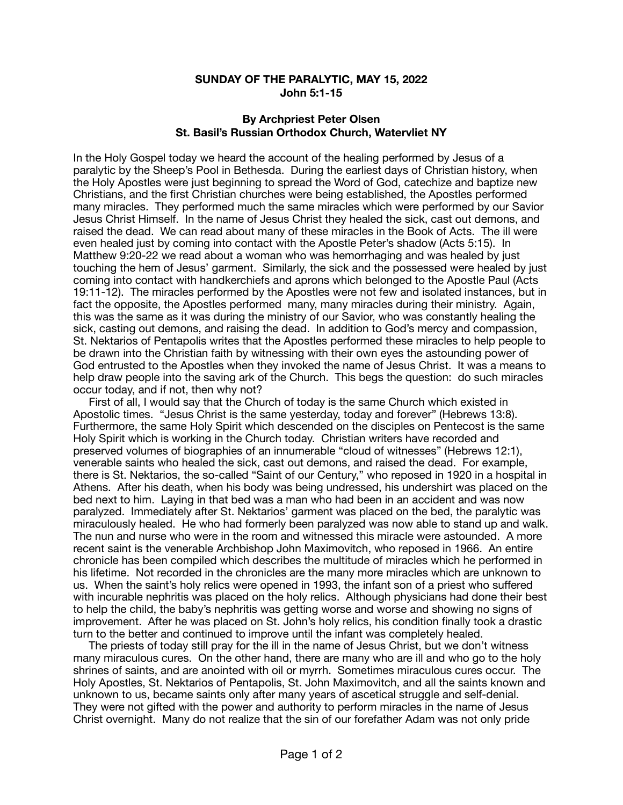## **SUNDAY OF THE PARALYTIC, MAY 15, 2022 John 5:1-15**

## **By Archpriest Peter Olsen St. Basil's Russian Orthodox Church, Watervliet NY**

In the Holy Gospel today we heard the account of the healing performed by Jesus of a paralytic by the Sheep's Pool in Bethesda. During the earliest days of Christian history, when the Holy Apostles were just beginning to spread the Word of God, catechize and baptize new Christians, and the first Christian churches were being established, the Apostles performed many miracles. They performed much the same miracles which were performed by our Savior Jesus Christ Himself. In the name of Jesus Christ they healed the sick, cast out demons, and raised the dead. We can read about many of these miracles in the Book of Acts. The ill were even healed just by coming into contact with the Apostle Peter's shadow (Acts 5:15). In Matthew 9:20-22 we read about a woman who was hemorrhaging and was healed by just touching the hem of Jesus' garment. Similarly, the sick and the possessed were healed by just coming into contact with handkerchiefs and aprons which belonged to the Apostle Paul (Acts 19:11-12). The miracles performed by the Apostles were not few and isolated instances, but in fact the opposite, the Apostles performed many, many miracles during their ministry. Again, this was the same as it was during the ministry of our Savior, who was constantly healing the sick, casting out demons, and raising the dead. In addition to God's mercy and compassion, St. Nektarios of Pentapolis writes that the Apostles performed these miracles to help people to be drawn into the Christian faith by witnessing with their own eyes the astounding power of God entrusted to the Apostles when they invoked the name of Jesus Christ. It was a means to help draw people into the saving ark of the Church. This begs the question: do such miracles occur today, and if not, then why not?

 First of all, I would say that the Church of today is the same Church which existed in Apostolic times. "Jesus Christ is the same yesterday, today and forever" (Hebrews 13:8). Furthermore, the same Holy Spirit which descended on the disciples on Pentecost is the same Holy Spirit which is working in the Church today. Christian writers have recorded and preserved volumes of biographies of an innumerable "cloud of witnesses" (Hebrews 12:1), venerable saints who healed the sick, cast out demons, and raised the dead. For example, there is St. Nektarios, the so-called "Saint of our Century," who reposed in 1920 in a hospital in Athens. After his death, when his body was being undressed, his undershirt was placed on the bed next to him. Laying in that bed was a man who had been in an accident and was now paralyzed. Immediately after St. Nektarios' garment was placed on the bed, the paralytic was miraculously healed. He who had formerly been paralyzed was now able to stand up and walk. The nun and nurse who were in the room and witnessed this miracle were astounded. A more recent saint is the venerable Archbishop John Maximovitch, who reposed in 1966. An entire chronicle has been compiled which describes the multitude of miracles which he performed in his lifetime. Not recorded in the chronicles are the many more miracles which are unknown to us. When the saint's holy relics were opened in 1993, the infant son of a priest who suffered with incurable nephritis was placed on the holy relics. Although physicians had done their best to help the child, the baby's nephritis was getting worse and worse and showing no signs of improvement. After he was placed on St. John's holy relics, his condition finally took a drastic turn to the better and continued to improve until the infant was completely healed.

 The priests of today still pray for the ill in the name of Jesus Christ, but we don't witness many miraculous cures. On the other hand, there are many who are ill and who go to the holy shrines of saints, and are anointed with oil or myrrh. Sometimes miraculous cures occur. The Holy Apostles, St. Nektarios of Pentapolis, St. John Maximovitch, and all the saints known and unknown to us, became saints only after many years of ascetical struggle and self-denial. They were not gifted with the power and authority to perform miracles in the name of Jesus Christ overnight. Many do not realize that the sin of our forefather Adam was not only pride